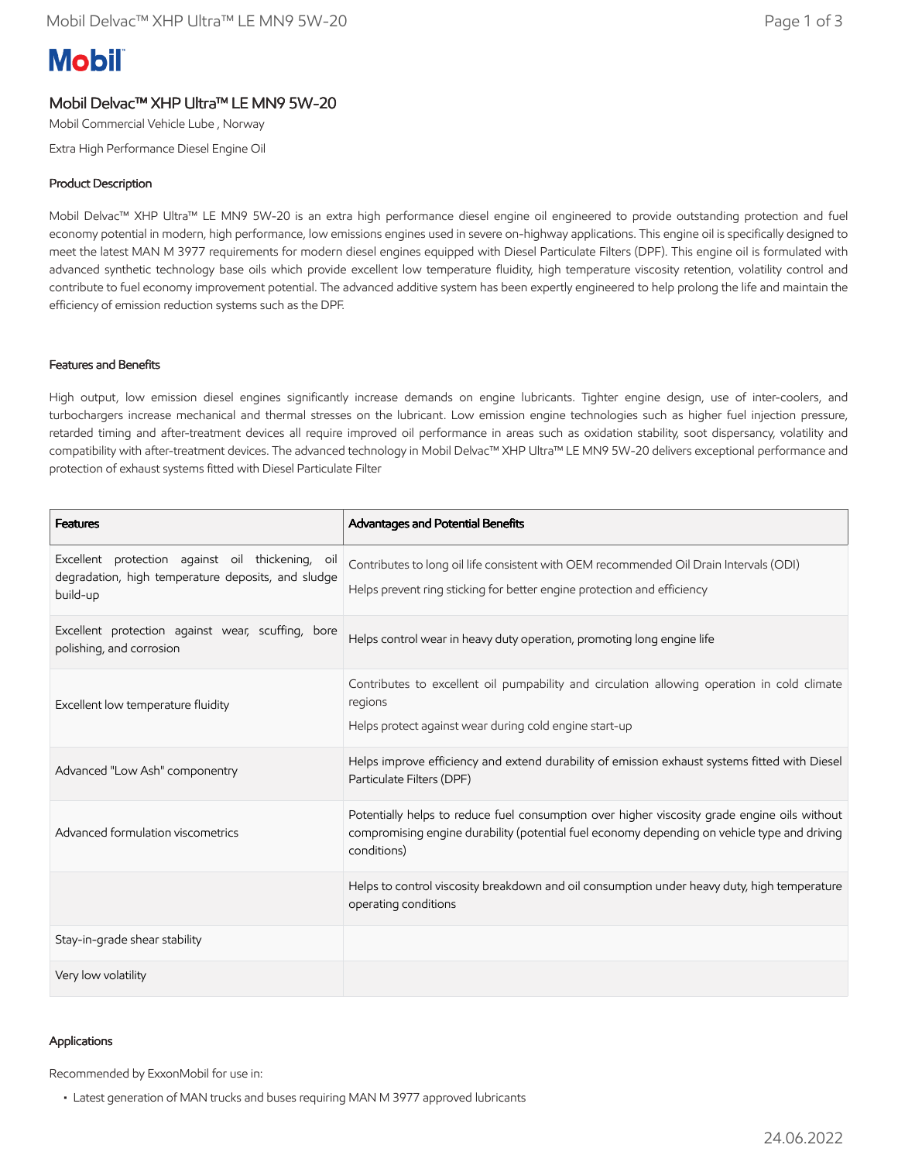# **Mobil**

## Mobil Delvac™ XHP Ultra™ LE MN9 5W-20

Mobil Commercial Vehicle Lube , Norway

Extra High Performance Diesel Engine Oil

## Product Description

Mobil Delvac™ XHP Ultra™ LE MN9 5W-20 is an extra high performance diesel engine oil engineered to provide outstanding protection and fuel economy potential in modern, high performance, low emissions engines used in severe on-highway applications. This engine oil is specifically designed to meet the latest MAN M 3977 requirements for modern diesel engines equipped with Diesel Particulate Filters (DPF). This engine oil is formulated with advanced synthetic technology base oils which provide excellent low temperature fluidity, high temperature viscosity retention, volatility control and contribute to fuel economy improvement potential. The advanced additive system has been expertly engineered to help prolong the life and maintain the efficiency of emission reduction systems such as the DPF.

#### Features and Benefits

High output, low emission diesel engines significantly increase demands on engine lubricants. Tighter engine design, use of inter-coolers, and turbochargers increase mechanical and thermal stresses on the lubricant. Low emission engine technologies such as higher fuel injection pressure, retarded timing and after-treatment devices all require improved oil performance in areas such as oxidation stability, soot dispersancy, volatility and compatibility with after-treatment devices. The advanced technology in Mobil Delvac™ XHP Ultra™ LE MN9 5W-20 delivers exceptional performance and protection of exhaust systems fitted with Diesel Particulate Filter

| <b>Features</b>                                                                                                    | Advantages and Potential Benefits                                                                                                                                                                           |  |
|--------------------------------------------------------------------------------------------------------------------|-------------------------------------------------------------------------------------------------------------------------------------------------------------------------------------------------------------|--|
| Excellent protection against oil thickening, oil<br>degradation, high temperature deposits, and sludge<br>build-up | Contributes to long oil life consistent with OEM recommended Oil Drain Intervals (ODI)<br>Helps prevent ring sticking for better engine protection and efficiency                                           |  |
| Excellent protection against wear, scuffing, bore<br>polishing, and corrosion                                      | Helps control wear in heavy duty operation, promoting long engine life                                                                                                                                      |  |
| Excellent low temperature fluidity                                                                                 | Contributes to excellent oil pumpability and circulation allowing operation in cold climate<br>regions<br>Helps protect against wear during cold engine start-up                                            |  |
| Advanced "Low Ash" componentry                                                                                     | Helps improve efficiency and extend durability of emission exhaust systems fitted with Diesel<br>Particulate Filters (DPF)                                                                                  |  |
| Advanced formulation viscometrics                                                                                  | Potentially helps to reduce fuel consumption over higher viscosity grade engine oils without<br>compromising engine durability (potential fuel economy depending on vehicle type and driving<br>conditions) |  |
|                                                                                                                    | Helps to control viscosity breakdown and oil consumption under heavy duty, high temperature<br>operating conditions                                                                                         |  |
| Stay-in-grade shear stability                                                                                      |                                                                                                                                                                                                             |  |
| Very low volatility                                                                                                |                                                                                                                                                                                                             |  |

#### Applications

Recommended by ExxonMobil for use in:

• Latest generation of MAN trucks and buses requiring MAN M 3977 approved lubricants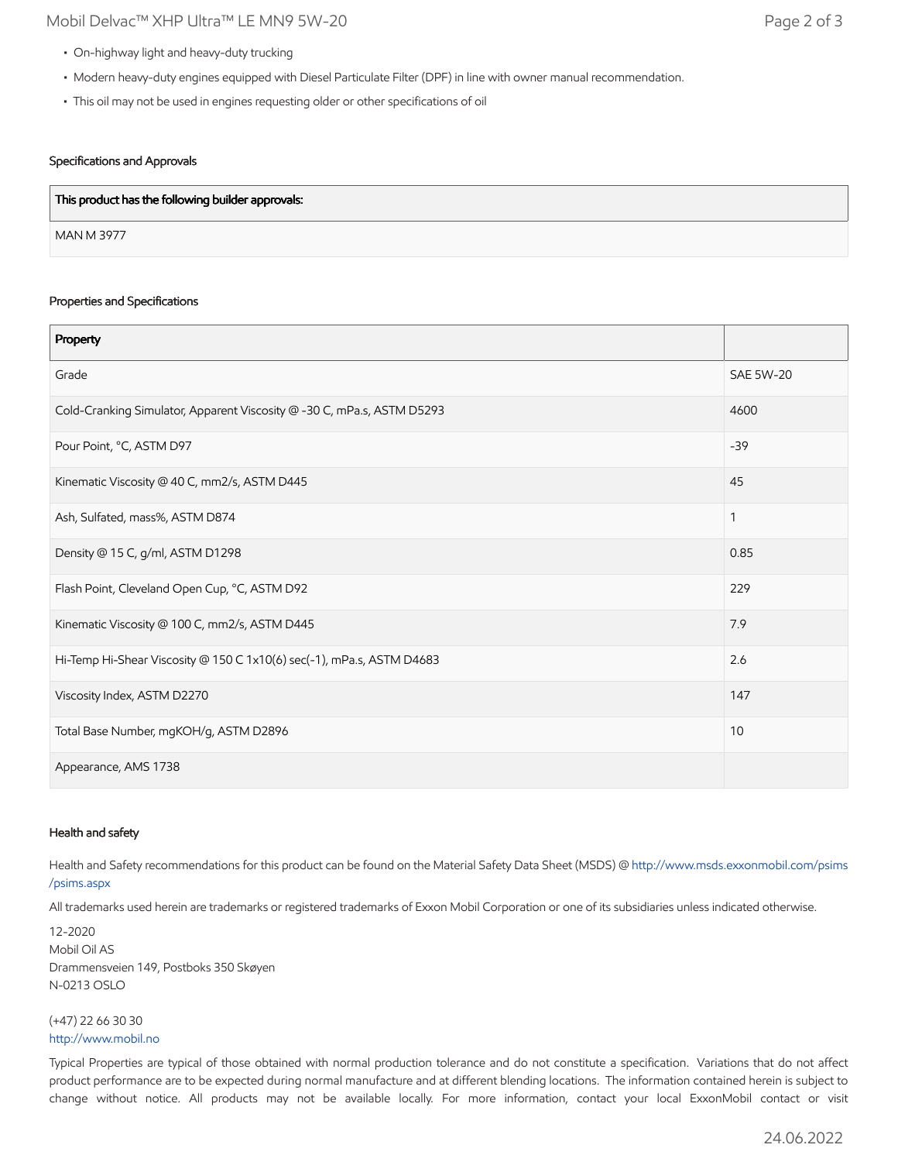- On-highway light and heavy-duty trucking
- Modern heavy-duty engines equipped with Diesel Particulate Filter (DPF) in line with owner manual recommendation.
- This oil may not be used in engines requesting older or other specifications of oil

## Specifications and Approvals

| This product has the following builder approvals: |  |
|---------------------------------------------------|--|
| <b>MAN M 3977</b>                                 |  |

#### Properties and Specifications

| Property                                                               |                  |
|------------------------------------------------------------------------|------------------|
| Grade                                                                  | <b>SAE 5W-20</b> |
| Cold-Cranking Simulator, Apparent Viscosity @ -30 C, mPa.s, ASTM D5293 | 4600             |
| Pour Point, °C, ASTM D97                                               | $-39$            |
| Kinematic Viscosity @ 40 C, mm2/s, ASTM D445                           | 45               |
| Ash, Sulfated, mass%, ASTM D874                                        | 1                |
| Density @ 15 C, g/ml, ASTM D1298                                       | 0.85             |
| Flash Point, Cleveland Open Cup, °C, ASTM D92                          | 229              |
| Kinematic Viscosity @ 100 C, mm2/s, ASTM D445                          | 7.9              |
| Hi-Temp Hi-Shear Viscosity @ 150 C 1x10(6) sec(-1), mPa.s, ASTM D4683  | 2.6              |
| Viscosity Index, ASTM D2270                                            | 147              |
| Total Base Number, mgKOH/g, ASTM D2896                                 | 10               |
| Appearance, AMS 1738                                                   |                  |

#### Health and safety

Health and Safety recommendations for this product can be found on the Material Safety Data Sheet (MSDS) @ [http://www.msds.exxonmobil.com/psims](http://www.msds.exxonmobil.com/psims/psims.aspx) /psims.aspx

All trademarks used herein are trademarks or registered trademarks of Exxon Mobil Corporation or one of its subsidiaries unless indicated otherwise.

12-2020 Mobil Oil AS Drammensveien 149, Postboks 350 Skøyen N-0213 OSLO

(+47) 22 66 30 30 [http://www.mobil.no](http://www.mobil.no/)

Typical Properties are typical of those obtained with normal production tolerance and do not constitute a specification. Variations that do not affect product performance are to be expected during normal manufacture and at different blending locations. The information contained herein is subject to change without notice. All products may not be available locally. For more information, contact your local ExxonMobil contact or visit